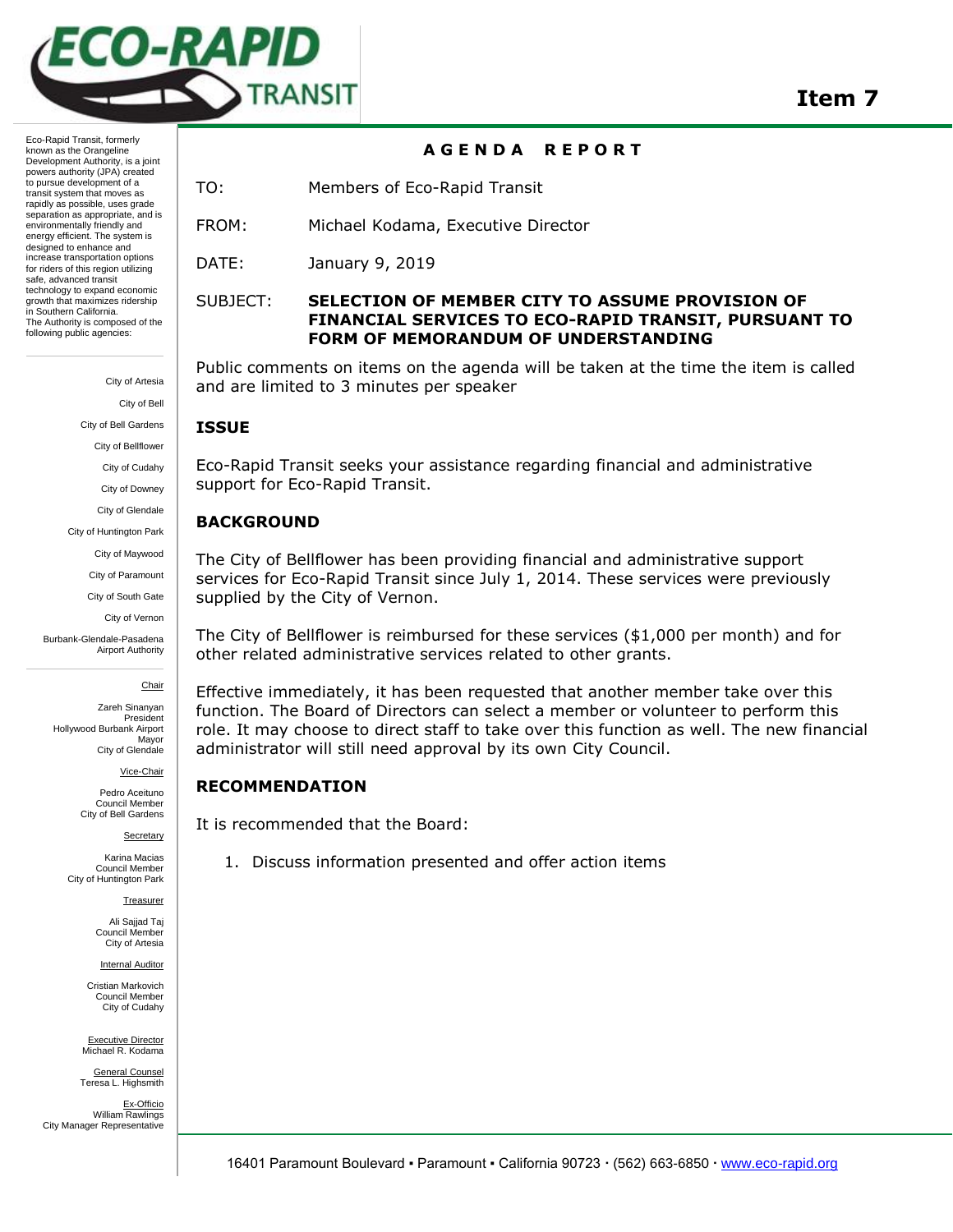

Eco-Rapid Transit, formerly known as the Orangeline Development Authority, is a joint powers authority (JPA) created to pursue development of a transit system that moves as rapidly as possible, uses grade separation as appropriate, and is environmentally friendly and energy efficient. The system is designed to enhance and increase transportation options for riders of this region utilizing safe, advanced transit technology to expand economic growth that maximizes ridership in Southern California. The Authority is composed of the following public agencies:

> City of Artesia City of Bell City of Bell Gardens City of Bellflower City of Cudahy City of Downey City of Glendale City of Huntington Park City of Maywood

> > City of Paramount

City of South Gate

City of Vernon

Burbank-Glendale-Pasadena Airport Authority

Chair

Zareh Sinanyan President Hollywood Burbank Airport Mayor City of Glendale

Vice-Chair

Pedro Aceituno Council Member City of Bell Gardens

Secretary

Karina Macias Council Member City of Huntington Park

Treasurer

Ali Sajjad Taj Council Member City of Artesia

Internal Auditor

Cristian Markovich Council Member City of Cudahy

Executive Director Michael R. Kodama General Counsel

Teresa L. Highsmith Ex-Officio William Rawlings City Manager Representative

## **A G E N D A R E P O R T**

TO: Members of Eco-Rapid Transit

FROM: Michael Kodama, Executive Director

DATE: January 9, 2019

#### SUBJECT: **SELECTION OF MEMBER CITY TO ASSUME PROVISION OF FINANCIAL SERVICES TO ECO-RAPID TRANSIT, PURSUANT TO FORM OF MEMORANDUM OF UNDERSTANDING**

Public comments on items on the agenda will be taken at the time the item is called and are limited to 3 minutes per speaker

#### **ISSUE**

Eco-Rapid Transit seeks your assistance regarding financial and administrative support for Eco-Rapid Transit.

## **BACKGROUND**

The City of Bellflower has been providing financial and administrative support services for Eco-Rapid Transit since July 1, 2014. These services were previously supplied by the City of Vernon.

The City of Bellflower is reimbursed for these services (\$1,000 per month) and for other related administrative services related to other grants.

Effective immediately, it has been requested that another member take over this function. The Board of Directors can select a member or volunteer to perform this role. It may choose to direct staff to take over this function as well. The new financial administrator will still need approval by its own City Council.

#### **RECOMMENDATION**

It is recommended that the Board:

1. Discuss information presented and offer action items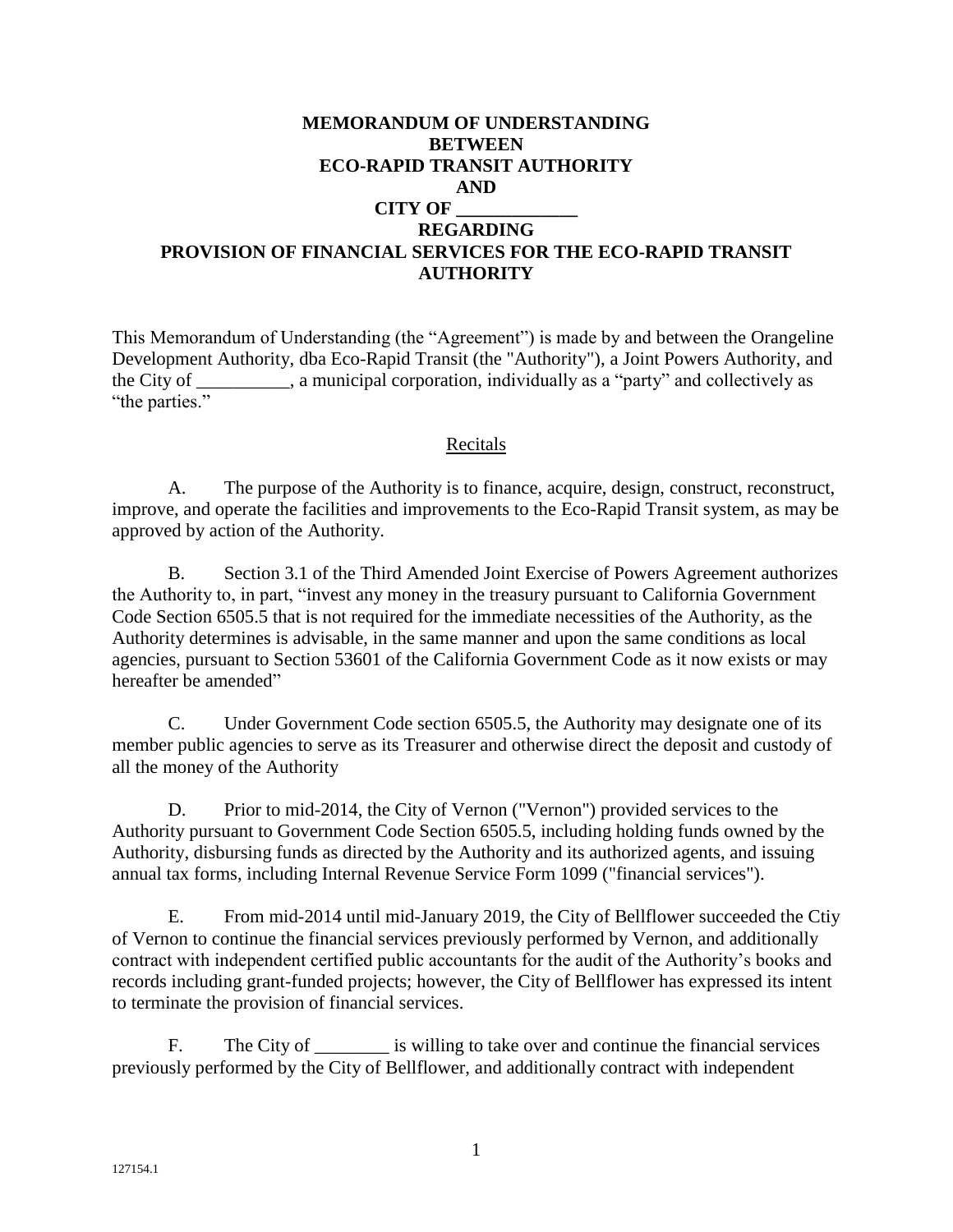#### **MEMORANDUM OF UNDERSTANDING BETWEEN ECO-RAPID TRANSIT AUTHORITY AND**

# **CITY OF \_\_\_\_\_\_\_\_\_\_\_\_\_**

## **REGARDING PROVISION OF FINANCIAL SERVICES FOR THE ECO-RAPID TRANSIT AUTHORITY**

This Memorandum of Understanding (the "Agreement") is made by and between the Orangeline Development Authority, dba Eco-Rapid Transit (the "Authority"), a Joint Powers Authority, and the City of \_\_\_\_\_\_\_\_\_\_, a municipal corporation, individually as a "party" and collectively as "the parties."

## Recitals

A. The purpose of the Authority is to finance, acquire, design, construct, reconstruct, improve, and operate the facilities and improvements to the Eco-Rapid Transit system, as may be approved by action of the Authority.

B. Section 3.1 of the Third Amended Joint Exercise of Powers Agreement authorizes the Authority to, in part, "invest any money in the treasury pursuant to California Government Code Section 6505.5 that is not required for the immediate necessities of the Authority, as the Authority determines is advisable, in the same manner and upon the same conditions as local agencies, pursuant to Section 53601 of the California Government Code as it now exists or may hereafter be amended"

C. Under Government Code section 6505.5, the Authority may designate one of its member public agencies to serve as its Treasurer and otherwise direct the deposit and custody of all the money of the Authority

D. Prior to mid-2014, the City of Vernon ("Vernon") provided services to the Authority pursuant to Government Code Section 6505.5, including holding funds owned by the Authority, disbursing funds as directed by the Authority and its authorized agents, and issuing annual tax forms, including Internal Revenue Service Form 1099 ("financial services").

E. From mid-2014 until mid-January 2019, the City of Bellflower succeeded the Ctiy of Vernon to continue the financial services previously performed by Vernon, and additionally contract with independent certified public accountants for the audit of the Authority's books and records including grant-funded projects; however, the City of Bellflower has expressed its intent to terminate the provision of financial services.

F. The City of is willing to take over and continue the financial services previously performed by the City of Bellflower, and additionally contract with independent

1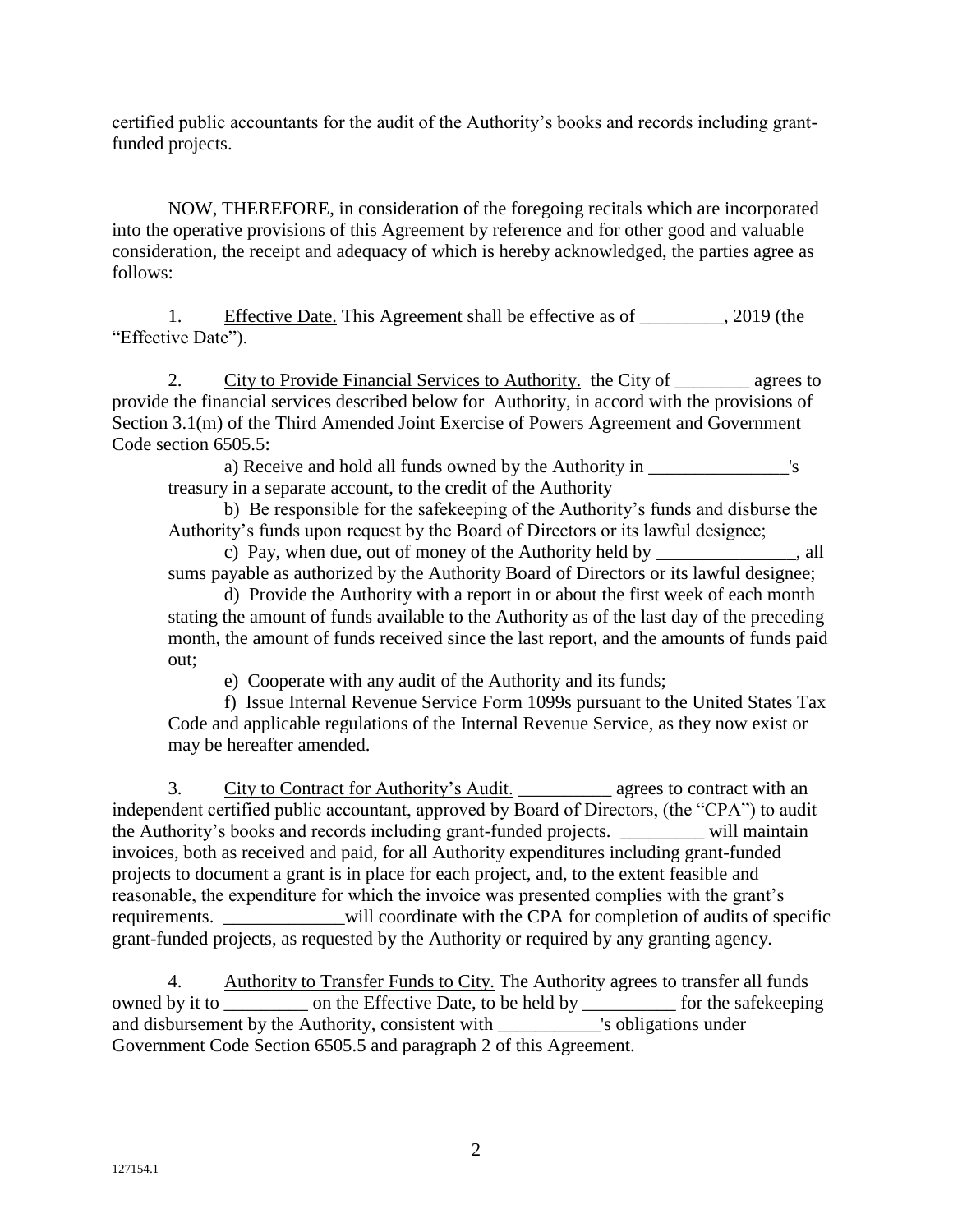certified public accountants for the audit of the Authority's books and records including grantfunded projects.

NOW, THEREFORE, in consideration of the foregoing recitals which are incorporated into the operative provisions of this Agreement by reference and for other good and valuable consideration, the receipt and adequacy of which is hereby acknowledged, the parties agree as follows:

1. Effective Date. This Agreement shall be effective as of \_\_\_\_\_\_\_\_\_, 2019 (the "Effective Date").

2. City to Provide Financial Services to Authority. the City of \_\_\_\_\_\_\_\_ agrees to provide the financial services described below for Authority, in accord with the provisions of Section 3.1(m) of the Third Amended Joint Exercise of Powers Agreement and Government Code section 6505.5:

a) Receive and hold all funds owned by the Authority in  $\blacksquare$ treasury in a separate account, to the credit of the Authority

b) Be responsible for the safekeeping of the Authority's funds and disburse the Authority's funds upon request by the Board of Directors or its lawful designee;

c) Pay, when due, out of money of the Authority held by \_\_\_\_\_\_\_\_\_\_\_\_\_\_\_, all sums payable as authorized by the Authority Board of Directors or its lawful designee;

d) Provide the Authority with a report in or about the first week of each month stating the amount of funds available to the Authority as of the last day of the preceding month, the amount of funds received since the last report, and the amounts of funds paid out;

e) Cooperate with any audit of the Authority and its funds;

f) Issue Internal Revenue Service Form 1099s pursuant to the United States Tax Code and applicable regulations of the Internal Revenue Service, as they now exist or may be hereafter amended.

3. City to Contract for Authority's Audit. \_\_\_\_\_\_\_\_\_\_\_\_\_ agrees to contract with an independent certified public accountant, approved by Board of Directors, (the "CPA") to audit the Authority's books and records including grant-funded projects. \_\_\_\_\_\_\_\_\_ will maintain invoices, both as received and paid, for all Authority expenditures including grant-funded projects to document a grant is in place for each project, and, to the extent feasible and reasonable, the expenditure for which the invoice was presented complies with the grant's requirements.  $\ddot{\text{w}}$  will coordinate with the CPA for completion of audits of specific grant-funded projects, as requested by the Authority or required by any granting agency.

4. Authority to Transfer Funds to City. The Authority agrees to transfer all funds owned by it to \_\_\_\_\_\_\_\_\_ on the Effective Date, to be held by \_\_\_\_\_\_\_\_\_\_ for the safekeeping and disbursement by the Authority, consistent with \_\_\_\_\_\_\_\_\_\_\_'s obligations under Government Code Section 6505.5 and paragraph 2 of this Agreement.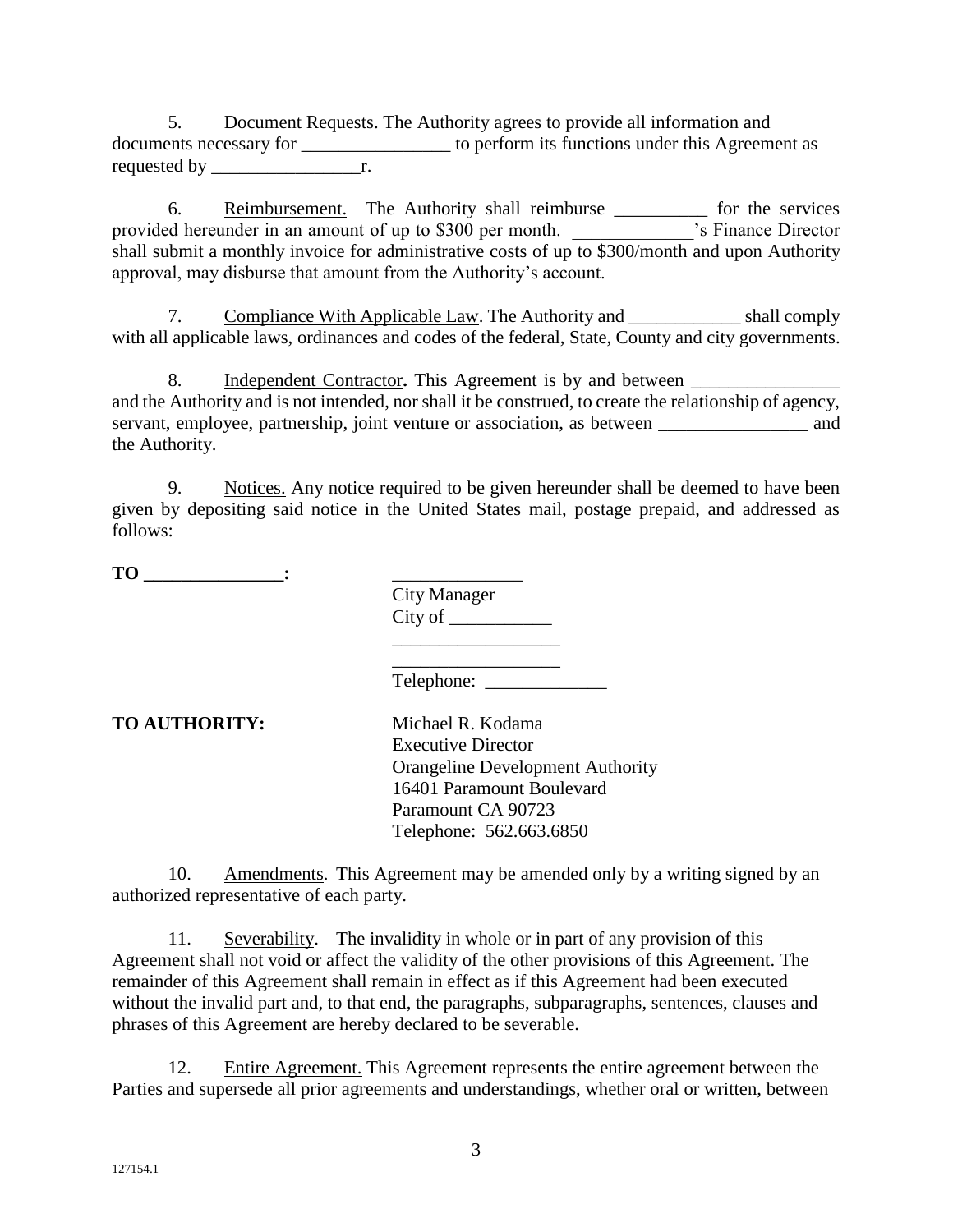5. Document Requests. The Authority agrees to provide all information and documents necessary for \_\_\_\_\_\_\_\_\_\_\_\_\_\_\_\_ to perform its functions under this Agreement as requested by \_\_\_\_\_\_\_\_\_\_\_\_\_\_\_\_r.

6. Reimbursement. The Authority shall reimburse \_\_\_\_\_\_\_\_\_\_ for the services provided hereunder in an amount of up to \$300 per month. \_\_\_\_\_\_\_\_\_\_\_\_\_'s Finance Director shall submit a monthly invoice for administrative costs of up to  $$300/m$ onth and upon Authority approval, may disburse that amount from the Authority's account.

7. Compliance With Applicable Law. The Authority and \_\_\_\_\_\_\_\_\_\_\_\_\_\_\_ shall comply with all applicable laws, ordinances and codes of the federal, State, County and city governments.

8. Independent Contractor. This Agreement is by and between and the Authority and is not intended, nor shall it be construed, to create the relationship of agency, servant, employee, partnership, joint venture or association, as between and the Authority.

9. Notices. Any notice required to be given hereunder shall be deemed to have been given by depositing said notice in the United States mail, postage prepaid, and addressed as follows:

**TO \_\_\_\_\_\_\_\_\_\_\_\_\_\_\_:** \_\_\_\_\_\_\_\_\_\_\_\_\_\_

City Manager City of \_\_\_\_\_\_\_\_\_\_\_

\_\_\_\_\_\_\_\_\_\_\_\_\_\_\_\_\_\_ Telephone: \_\_\_\_\_\_\_\_\_\_\_\_\_

\_\_\_\_\_\_\_\_\_\_\_\_\_\_\_\_\_\_

**TO AUTHORITY:** Michael R. Kodama Executive Director Orangeline Development Authority 16401 Paramount Boulevard Paramount CA 90723 Telephone: 562.663.6850

10. Amendments. This Agreement may be amended only by a writing signed by an authorized representative of each party.

11. Severability. The invalidity in whole or in part of any provision of this Agreement shall not void or affect the validity of the other provisions of this Agreement. The remainder of this Agreement shall remain in effect as if this Agreement had been executed without the invalid part and, to that end, the paragraphs, subparagraphs, sentences, clauses and phrases of this Agreement are hereby declared to be severable.

12. Entire Agreement. This Agreement represents the entire agreement between the Parties and supersede all prior agreements and understandings, whether oral or written, between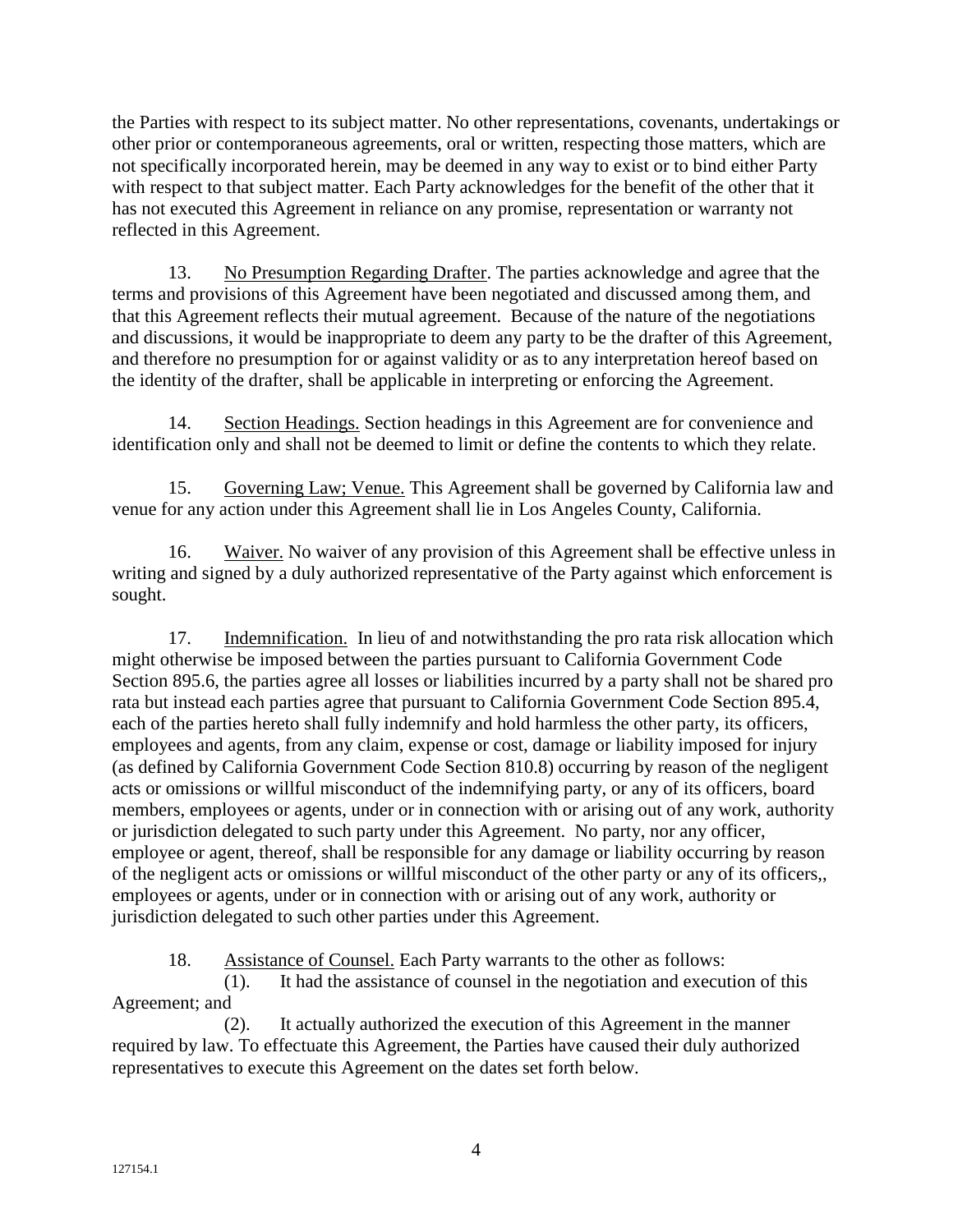the Parties with respect to its subject matter. No other representations, covenants, undertakings or other prior or contemporaneous agreements, oral or written, respecting those matters, which are not specifically incorporated herein, may be deemed in any way to exist or to bind either Party with respect to that subject matter. Each Party acknowledges for the benefit of the other that it has not executed this Agreement in reliance on any promise, representation or warranty not reflected in this Agreement.

13. No Presumption Regarding Drafter. The parties acknowledge and agree that the terms and provisions of this Agreement have been negotiated and discussed among them, and that this Agreement reflects their mutual agreement. Because of the nature of the negotiations and discussions, it would be inappropriate to deem any party to be the drafter of this Agreement, and therefore no presumption for or against validity or as to any interpretation hereof based on the identity of the drafter, shall be applicable in interpreting or enforcing the Agreement.

14. Section Headings. Section headings in this Agreement are for convenience and identification only and shall not be deemed to limit or define the contents to which they relate.

15. Governing Law; Venue. This Agreement shall be governed by California law and venue for any action under this Agreement shall lie in Los Angeles County, California.

16. Waiver. No waiver of any provision of this Agreement shall be effective unless in writing and signed by a duly authorized representative of the Party against which enforcement is sought.

17. Indemnification. In lieu of and notwithstanding the pro rata risk allocation which might otherwise be imposed between the parties pursuant to California Government Code Section 895.6, the parties agree all losses or liabilities incurred by a party shall not be shared pro rata but instead each parties agree that pursuant to California Government Code Section 895.4, each of the parties hereto shall fully indemnify and hold harmless the other party, its officers, employees and agents, from any claim, expense or cost, damage or liability imposed for injury (as defined by California Government Code Section 810.8) occurring by reason of the negligent acts or omissions or willful misconduct of the indemnifying party, or any of its officers, board members, employees or agents, under or in connection with or arising out of any work, authority or jurisdiction delegated to such party under this Agreement. No party, nor any officer, employee or agent, thereof, shall be responsible for any damage or liability occurring by reason of the negligent acts or omissions or willful misconduct of the other party or any of its officers,, employees or agents, under or in connection with or arising out of any work, authority or jurisdiction delegated to such other parties under this Agreement.

18. Assistance of Counsel. Each Party warrants to the other as follows:

(1). It had the assistance of counsel in the negotiation and execution of this Agreement; and

(2). It actually authorized the execution of this Agreement in the manner required by law. To effectuate this Agreement, the Parties have caused their duly authorized representatives to execute this Agreement on the dates set forth below.